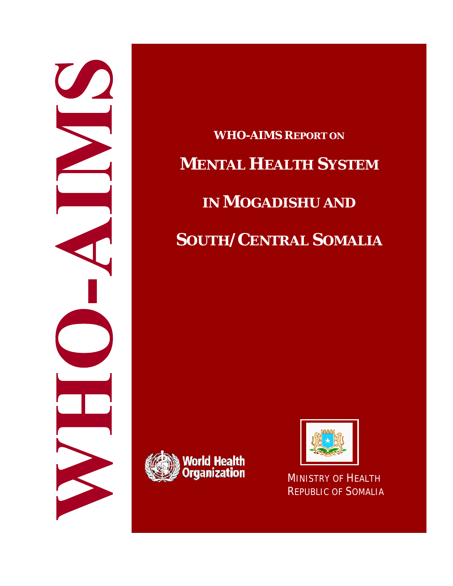

**WHO-AIMS REPORT ON MENTAL HEALTH SYSTEM IN MOGADISHU AND SOUTH/CENTRAL SOMALIA**





REPUBLIC OF SOMALIA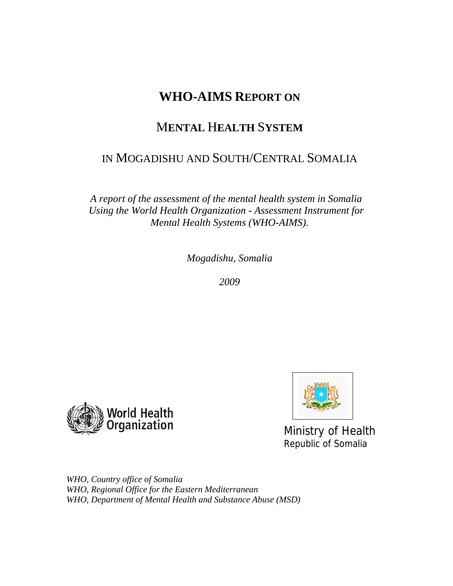# **WHO-AIMS REPORT ON**

# M**ENTAL** H**EALTH** S**YSTEM**

# IN MOGADISHU AND SOUTH/CENTRAL SOMALIA

*A report of the assessment of the mental health system in Somalia Using the World Health Organization - Assessment Instrument for Mental Health Systems (WHO-AIMS).* 

*Mogadishu, Somalia* 

*2009* 





Ministry of Health Republic of Somalia

*WHO, Country office of Somalia WHO, Regional Office for the Eastern Mediterranean WHO, Department of Mental Health and Substance Abuse (MSD)*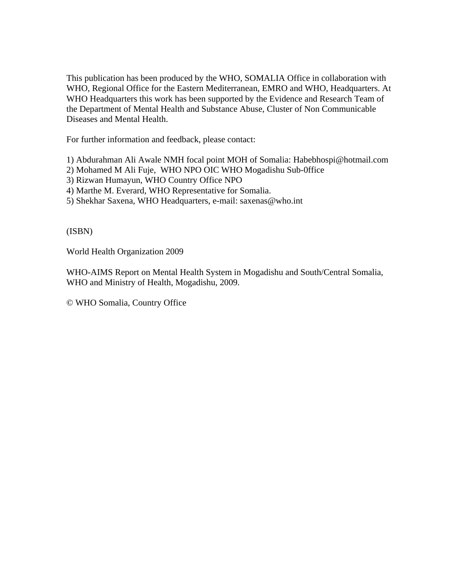This publication has been produced by the WHO, SOMALIA Office in collaboration with WHO, Regional Office for the Eastern Mediterranean, EMRO and WHO, Headquarters. At WHO Headquarters this work has been supported by the Evidence and Research Team of the Department of Mental Health and Substance Abuse, Cluster of Non Communicable Diseases and Mental Health.

For further information and feedback, please contact:

1) Abdurahman Ali Awale NMH focal point MOH of Somalia: Habebhospi@hotmail.com

- 2) Mohamed M Ali Fuje, WHO NPO OIC WHO Mogadishu Sub-0ffice
- 3) Rizwan Humayun, WHO Country Office NPO
- 4) Marthe M. Everard, WHO Representative for Somalia.
- 5) Shekhar Saxena, WHO Headquarters, e-mail: saxenas@who.int

(ISBN)

World Health Organization 2009

WHO-AIMS Report on Mental Health System in Mogadishu and South/Central Somalia, WHO and Ministry of Health, Mogadishu, 2009.

© WHO Somalia, Country Office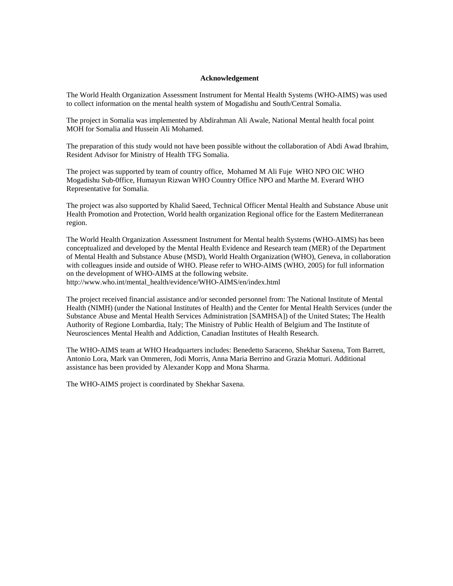#### **Acknowledgement**

The World Health Organization Assessment Instrument for Mental Health Systems (WHO-AIMS) was used to collect information on the mental health system of Mogadishu and South/Central Somalia.

The project in Somalia was implemented by Abdirahman Ali Awale, National Mental health focal point MOH for Somalia and Hussein Ali Mohamed.

The preparation of this study would not have been possible without the collaboration of Abdi Awad Ibrahim, Resident Advisor for Ministry of Health TFG Somalia.

The project was supported by team of country office, Mohamed M Ali Fuje WHO NPO OIC WHO Mogadishu Sub-0ffice, Humayun Rizwan WHO Country Office NPO and Marthe M. Everard WHO Representative for Somalia.

The project was also supported by Khalid Saeed, Technical Officer Mental Health and Substance Abuse unit Health Promotion and Protection, World health organization Regional office for the Eastern Mediterranean region.

The World Health Organization Assessment Instrument for Mental health Systems (WHO-AIMS) has been conceptualized and developed by the Mental Health Evidence and Research team (MER) of the Department of Mental Health and Substance Abuse (MSD), World Health Organization (WHO), Geneva, in collaboration with colleagues inside and outside of WHO. Please refer to WHO-AIMS (WHO, 2005) for full information on the development of WHO-AIMS at the following website. http://www.who.int/mental\_health/evidence/WHO-AIMS/en/index.html

The project received financial assistance and/or seconded personnel from: The National Institute of Mental Health (NIMH) (under the National Institutes of Health) and the Center for Mental Health Services (under the Substance Abuse and Mental Health Services Administration [SAMHSA]) of the United States; The Health Authority of Regione Lombardia, Italy; The Ministry of Public Health of Belgium and The Institute of Neurosciences Mental Health and Addiction, Canadian Institutes of Health Research.

The WHO-AIMS team at WHO Headquarters includes: Benedetto Saraceno, Shekhar Saxena, Tom Barrett, Antonio Lora, Mark van Ommeren, Jodi Morris, Anna Maria Berrino and Grazia Motturi. Additional assistance has been provided by Alexander Kopp and Mona Sharma.

The WHO-AIMS project is coordinated by Shekhar Saxena.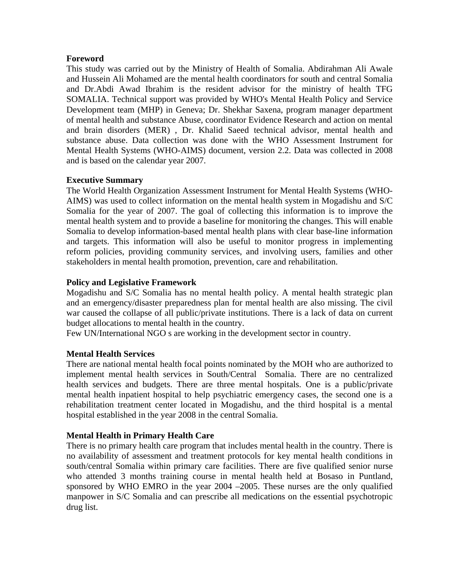### **Foreword**

This study was carried out by the Ministry of Health of Somalia. Abdirahman Ali Awale and Hussein Ali Mohamed are the mental health coordinators for south and central Somalia and Dr.Abdi Awad Ibrahim is the resident advisor for the ministry of health TFG SOMALIA. Technical support was provided by WHO's Mental Health Policy and Service Development team (MHP) in Geneva; Dr. Shekhar Saxena, program manager department of mental health and substance Abuse, coordinator Evidence Research and action on mental and brain disorders (MER) , Dr. Khalid Saeed technical advisor, mental health and substance abuse. Data collection was done with the WHO Assessment Instrument for Mental Health Systems (WHO-AIMS) document, version 2.2. Data was collected in 2008 and is based on the calendar year 2007.

### **Executive Summary**

The World Health Organization Assessment Instrument for Mental Health Systems (WHO-AIMS) was used to collect information on the mental health system in Mogadishu and S/C Somalia for the year of 2007. The goal of collecting this information is to improve the mental health system and to provide a baseline for monitoring the changes. This will enable Somalia to develop information-based mental health plans with clear base-line information and targets. This information will also be useful to monitor progress in implementing reform policies, providing community services, and involving users, families and other stakeholders in mental health promotion, prevention, care and rehabilitation.

### **Policy and Legislative Framework**

Mogadishu and S/C Somalia has no mental health policy. A mental health strategic plan and an emergency/disaster preparedness plan for mental health are also missing. The civil war caused the collapse of all public/private institutions. There is a lack of data on current budget allocations to mental health in the country.

Few UN/International NGO s are working in the development sector in country.

### **Mental Health Services**

There are national mental health focal points nominated by the MOH who are authorized to implement mental health services in South/Central Somalia. There are no centralized health services and budgets. There are three mental hospitals. One is a public/private mental health inpatient hospital to help psychiatric emergency cases, the second one is a rehabilitation treatment center located in Mogadishu, and the third hospital is a mental hospital established in the year 2008 in the central Somalia.

### **Mental Health in Primary Health Care**

There is no primary health care program that includes mental health in the country. There is no availability of assessment and treatment protocols for key mental health conditions in south/central Somalia within primary care facilities. There are five qualified senior nurse who attended 3 months training course in mental health held at Bosaso in Puntland, sponsored by WHO EMRO in the year 2004 –2005. These nurses are the only qualified manpower in S/C Somalia and can prescribe all medications on the essential psychotropic drug list.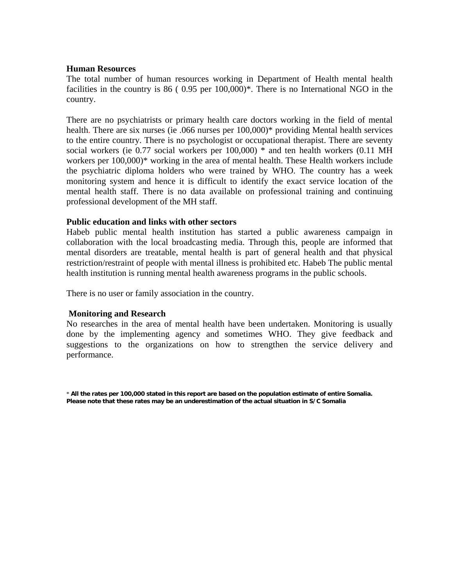#### **Human Resources**

The total number of human resources working in Department of Health mental health facilities in the country is 86 (0.95 per 100,000)<sup>\*</sup>. There is no International NGO in the country.

There are no psychiatrists or primary health care doctors working in the field of mental health. There are six nurses (ie .066 nurses per 100,000)\* providing Mental health services to the entire country. There is no psychologist or occupational therapist. There are seventy social workers (ie 0.77 social workers per 100,000) \* and ten health workers (0.11 MH workers per 100,000)\* working in the area of mental health. These Health workers include the psychiatric diploma holders who were trained by WHO. The country has a week monitoring system and hence it is difficult to identify the exact service location of the mental health staff. There is no data available on professional training and continuing professional development of the MH staff.

#### **Public education and links with other sectors**

Habeb public mental health institution has started a public awareness campaign in collaboration with the local broadcasting media. Through this, people are informed that mental disorders are treatable, mental health is part of general health and that physical restriction/restraint of people with mental illness is prohibited etc. Habeb The public mental health institution is running mental health awareness programs in the public schools.

There is no user or family association in the country.

### **Monitoring and Research**

No researches in the area of mental health have been undertaken. Monitoring is usually done by the implementing agency and sometimes WHO. They give feedback and suggestions to the organizations on how to strengthen the service delivery and performance.

\* **All the rates per 100,000 stated in this report are based on the population estimate of entire Somalia. Please note that these rates may be an underestimation of the actual situation in S/C Somalia**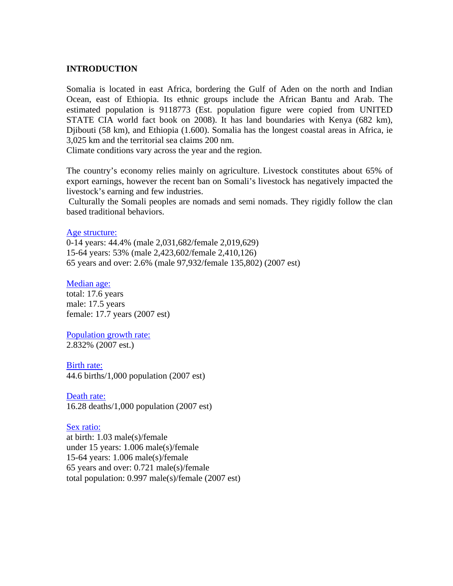#### **INTRODUCTION**

Somalia is located in east Africa, bordering the Gulf of Aden on the north and Indian Ocean, east of Ethiopia. Its ethnic groups include the African Bantu and Arab. The estimated population is 9118773 (Est. population figure were copied from UNITED STATE CIA world fact book on 2008). It has land boundaries with Kenya (682 km), Djibouti (58 km), and Ethiopia (1.600). Somalia has the longest coastal areas in Africa, ie 3,025 km and the territorial sea claims 200 nm.

Climate conditions vary across the year and the region.

The country's economy relies mainly on agriculture. Livestock constitutes about 65% of export earnings, however the recent ban on Somali's livestock has negatively impacted the livestock's earning and few industries.

 Culturally the Somali peoples are nomads and semi nomads. They rigidly follow the clan based traditional behaviors.

#### Age structure:

0-14 years: 44.4% (male 2,031,682/female 2,019,629) 15-64 years: 53% (male 2,423,602/female 2,410,126) 65 years and over: 2.6% (male 97,932/female 135,802) (2007 est)

#### Median age:

total: 17.6 years male: 17.5 years female: 17.7 years (2007 est)

Population growth rate: 2.832% (2007 est.)

#### Birth rate:

44.6 births/1,000 population (2007 est)

Death rate: 16.28 deaths/1,000 population (2007 est)

### Sex ratio:

at birth: 1.03 male(s)/female under 15 years: 1.006 male(s)/female 15-64 years: 1.006 male(s)/female 65 years and over: 0.721 male(s)/female total population: 0.997 male(s)/female (2007 est)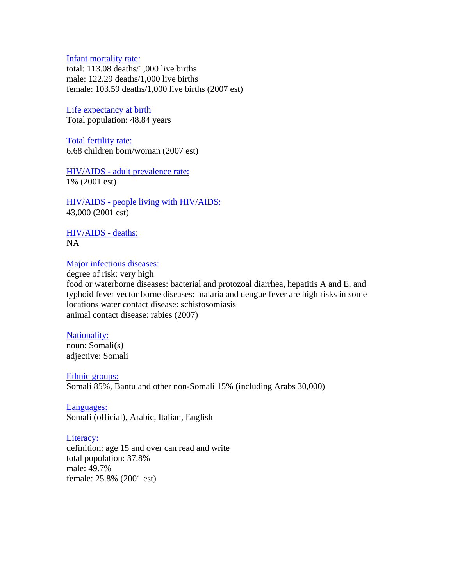Infant mortality rate:

total: 113.08 deaths/1,000 live births male: 122.29 deaths/1,000 live births female: 103.59 deaths/1,000 live births (2007 est)

Life expectancy at birth Total population: 48.84 years

Total fertility rate: 6.68 children born/woman (2007 est)

HIV/AIDS - adult prevalence rate: 1% (2001 est)

HIV/AIDS - people living with HIV/AIDS: 43,000 (2001 est)

HIV/AIDS - deaths: NA

#### Major infectious diseases:

degree of risk: very high food or waterborne diseases: bacterial and protozoal diarrhea, hepatitis A and E, and typhoid fever vector borne diseases: malaria and dengue fever are high risks in some locations water contact disease: schistosomiasis animal contact disease: rabies (2007)

### Nationality:

noun: Somali(s) adjective: Somali

Ethnic groups:

Somali 85%, Bantu and other non-Somali 15% (including Arabs 30,000)

Languages: Somali (official), Arabic, Italian, English

#### Literacy:

definition: age 15 and over can read and write total population: 37.8% male: 49.7% female: 25.8% (2001 est)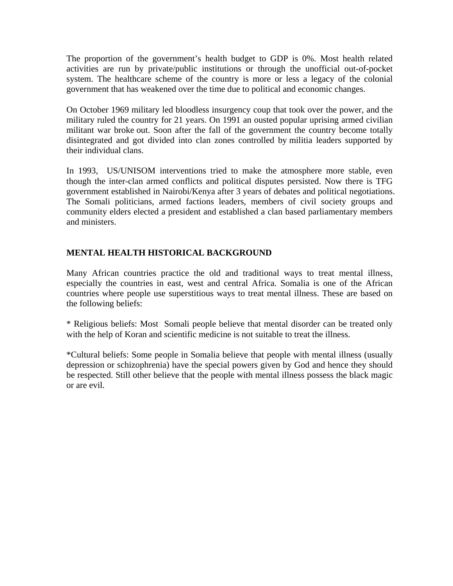The proportion of the government's health budget to GDP is 0%. Most health related activities are run by private/public institutions or through the unofficial out-of-pocket system. The healthcare scheme of the country is more or less a legacy of the colonial government that has weakened over the time due to political and economic changes.

On October 1969 military led bloodless insurgency coup that took over the power, and the military ruled the country for 21 years. On 1991 an ousted popular uprising armed civilian militant war broke out. Soon after the fall of the government the country become totally disintegrated and got divided into clan zones controlled by militia leaders supported by their individual clans.

In 1993, US/UNISOM interventions tried to make the atmosphere more stable, even though the inter-clan armed conflicts and political disputes persisted. Now there is TFG government established in Nairobi/Kenya after 3 years of debates and political negotiations. The Somali politicians, armed factions leaders, members of civil society groups and community elders elected a president and established a clan based parliamentary members and ministers.

### **MENTAL HEALTH HISTORICAL BACKGROUND**

Many African countries practice the old and traditional ways to treat mental illness, especially the countries in east, west and central Africa. Somalia is one of the African countries where people use superstitious ways to treat mental illness. These are based on the following beliefs:

\* Religious beliefs: Most Somali people believe that mental disorder can be treated only with the help of Koran and scientific medicine is not suitable to treat the illness.

\*Cultural beliefs: Some people in Somalia believe that people with mental illness (usually depression or schizophrenia) have the special powers given by God and hence they should be respected. Still other believe that the people with mental illness possess the black magic or are evil.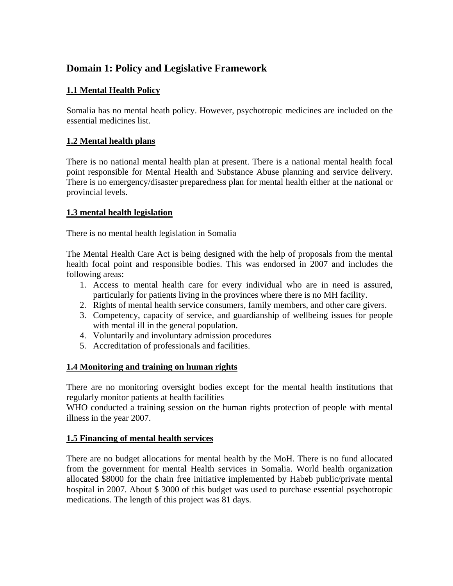# **Domain 1: Policy and Legislative Framework**

# **1.1 Mental Health Policy**

Somalia has no mental heath policy. However, psychotropic medicines are included on the essential medicines list.

## **1.2 Mental health plans**

There is no national mental health plan at present. There is a national mental health focal point responsible for Mental Health and Substance Abuse planning and service delivery. There is no emergency/disaster preparedness plan for mental health either at the national or provincial levels.

### **1.3 mental health legislation**

There is no mental health legislation in Somalia

The Mental Health Care Act is being designed with the help of proposals from the mental health focal point and responsible bodies. This was endorsed in 2007 and includes the following areas:

- 1. Access to mental health care for every individual who are in need is assured, particularly for patients living in the provinces where there is no MH facility.
- 2. Rights of mental health service consumers, family members, and other care givers.
- 3. Competency, capacity of service, and guardianship of wellbeing issues for people with mental ill in the general population.
- 4. Voluntarily and involuntary admission procedures
- 5. Accreditation of professionals and facilities.

### **1.4 Monitoring and training on human rights**

There are no monitoring oversight bodies except for the mental health institutions that regularly monitor patients at health facilities

WHO conducted a training session on the human rights protection of people with mental illness in the year 2007.

### **1.5 Financing of mental health services**

There are no budget allocations for mental health by the MoH. There is no fund allocated from the government for mental Health services in Somalia. World health organization allocated \$8000 for the chain free initiative implemented by Habeb public/private mental hospital in 2007. About \$ 3000 of this budget was used to purchase essential psychotropic medications. The length of this project was 81 days.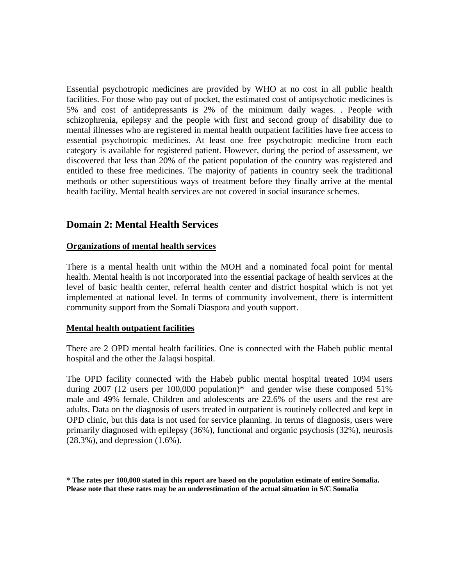Essential psychotropic medicines are provided by WHO at no cost in all public health facilities. For those who pay out of pocket, the estimated cost of antipsychotic medicines is 5% and cost of antidepressants is 2% of the minimum daily wages. . People with schizophrenia, epilepsy and the people with first and second group of disability due to mental illnesses who are registered in mental health outpatient facilities have free access to essential psychotropic medicines. At least one free psychotropic medicine from each category is available for registered patient. However, during the period of assessment, we discovered that less than 20% of the patient population of the country was registered and entitled to these free medicines. The majority of patients in country seek the traditional methods or other superstitious ways of treatment before they finally arrive at the mental health facility. Mental health services are not covered in social insurance schemes.

## **Domain 2: Mental Health Services**

### **Organizations of mental health services**

There is a mental health unit within the MOH and a nominated focal point for mental health. Mental health is not incorporated into the essential package of health services at the level of basic health center, referral health center and district hospital which is not yet implemented at national level. In terms of community involvement, there is intermittent community support from the Somali Diaspora and youth support.

### **Mental health outpatient facilities**

There are 2 OPD mental health facilities. One is connected with the Habeb public mental hospital and the other the Jalaqsi hospital.

The OPD facility connected with the Habeb public mental hospital treated 1094 users during 2007 (12 users per 100,000 population)\* and gender wise these composed 51% male and 49% female. Children and adolescents are 22.6% of the users and the rest are adults. Data on the diagnosis of users treated in outpatient is routinely collected and kept in OPD clinic, but this data is not used for service planning. In terms of diagnosis, users were primarily diagnosed with epilepsy (36%), functional and organic psychosis (32%), neurosis (28.3%), and depression (1.6%).

**\* The rates per 100,000 stated in this report are based on the population estimate of entire Somalia. Please note that these rates may be an underestimation of the actual situation in S/C Somalia**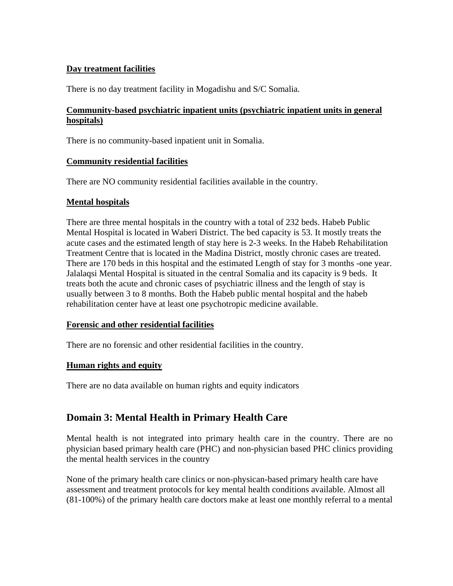### **Day treatment facilities**

There is no day treatment facility in Mogadishu and S/C Somalia.

### **Community-based psychiatric inpatient units (psychiatric inpatient units in general hospitals)**

There is no community-based inpatient unit in Somalia.

### **Community residential facilities**

There are NO community residential facilities available in the country.

### **Mental hospitals**

There are three mental hospitals in the country with a total of 232 beds. Habeb Public Mental Hospital is located in Waberi District. The bed capacity is 53. It mostly treats the acute cases and the estimated length of stay here is 2-3 weeks. In the Habeb Rehabilitation Treatment Centre that is located in the Madina District, mostly chronic cases are treated. There are 170 beds in this hospital and the estimated Length of stay for 3 months -one year. Jalalaqsi Mental Hospital is situated in the central Somalia and its capacity is 9 beds. It treats both the acute and chronic cases of psychiatric illness and the length of stay is usually between 3 to 8 months. Both the Habeb public mental hospital and the habeb rehabilitation center have at least one psychotropic medicine available.

### **Forensic and other residential facilities**

There are no forensic and other residential facilities in the country.

### **Human rights and equity**

There are no data available on human rights and equity indicators

# **Domain 3: Mental Health in Primary Health Care**

Mental health is not integrated into primary health care in the country. There are no physician based primary health care (PHC) and non-physician based PHC clinics providing the mental health services in the country

None of the primary health care clinics or non-physican-based primary health care have assessment and treatment protocols for key mental health conditions available. Almost all (81-100%) of the primary health care doctors make at least one monthly referral to a mental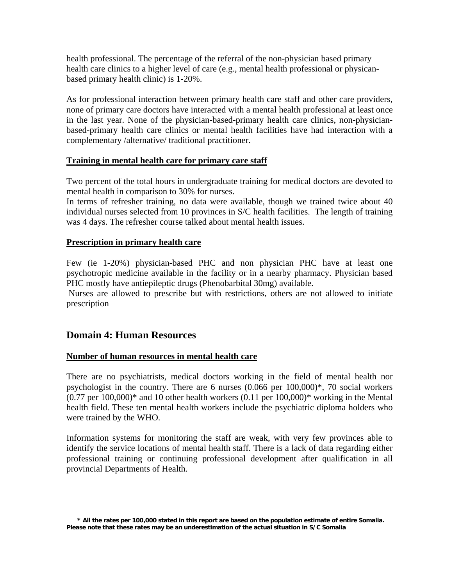health professional. The percentage of the referral of the non-physician based primary health care clinics to a higher level of care (e.g., mental health professional or physicanbased primary health clinic) is 1-20%.

As for professional interaction between primary health care staff and other care providers, none of primary care doctors have interacted with a mental health professional at least once in the last year. None of the physician-based-primary health care clinics, non-physicianbased-primary health care clinics or mental health facilities have had interaction with a complementary /alternative/ traditional practitioner.

### **Training in mental health care for primary care staff**

Two percent of the total hours in undergraduate training for medical doctors are devoted to mental health in comparison to 30% for nurses.

In terms of refresher training, no data were available, though we trained twice about 40 individual nurses selected from 10 provinces in S/C health facilities. The length of training was 4 days. The refresher course talked about mental health issues.

### **Prescription in primary health care**

Few (ie 1-20%) physician-based PHC and non physician PHC have at least one psychotropic medicine available in the facility or in a nearby pharmacy. Physician based PHC mostly have antiepileptic drugs (Phenobarbital 30mg) available.

 Nurses are allowed to prescribe but with restrictions, others are not allowed to initiate prescription

## **Domain 4: Human Resources**

### **Number of human resources in mental health care**

There are no psychiatrists, medical doctors working in the field of mental health nor psychologist in the country. There are 6 nurses (0.066 per 100,000)\*, 70 social workers  $(0.77$  per  $100,000)$ <sup>\*</sup> and 10 other health workers  $(0.11$  per  $100,000)$ <sup>\*</sup> working in the Mental health field. These ten mental health workers include the psychiatric diploma holders who were trained by the WHO.

Information systems for monitoring the staff are weak, with very few provinces able to identify the service locations of mental health staff. There is a lack of data regarding either professional training or continuing professional development after qualification in all provincial Departments of Health.

**<sup>\*</sup> All the rates per 100,000 stated in this report are based on the population estimate of entire Somalia. Please note that these rates may be an underestimation of the actual situation in S/C Somalia**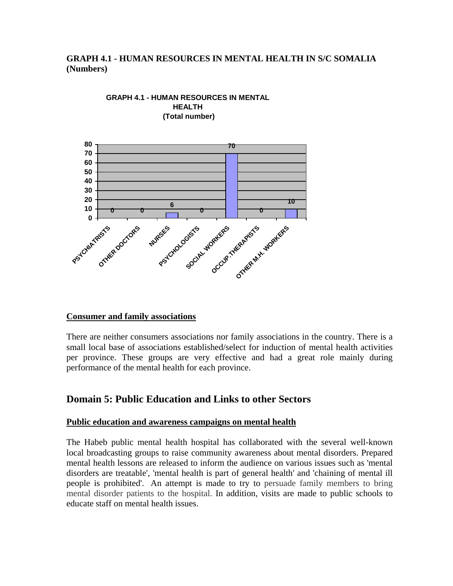### **GRAPH 4.1 - HUMAN RESOURCES IN MENTAL HEALTH IN S/C SOMALIA (Numbers)**



#### **GRAPH 4.1 - HUMAN RESOURCES IN MENTAL HEALTH (Total number)**

### **Consumer and family associations**

There are neither consumers associations nor family associations in the country. There is a small local base of associations established/select for induction of mental health activities per province. These groups are very effective and had a great role mainly during performance of the mental health for each province.

## **Domain 5: Public Education and Links to other Sectors**

### **Public education and awareness campaigns on mental health**

The Habeb public mental health hospital has collaborated with the several well-known local broadcasting groups to raise community awareness about mental disorders. Prepared mental health lessons are released to inform the audience on various issues such as 'mental disorders are treatable', 'mental health is part of general health' and 'chaining of mental ill people is prohibited'. An attempt is made to try to persuade family members to bring mental disorder patients to the hospital. In addition, visits are made to public schools to educate staff on mental health issues.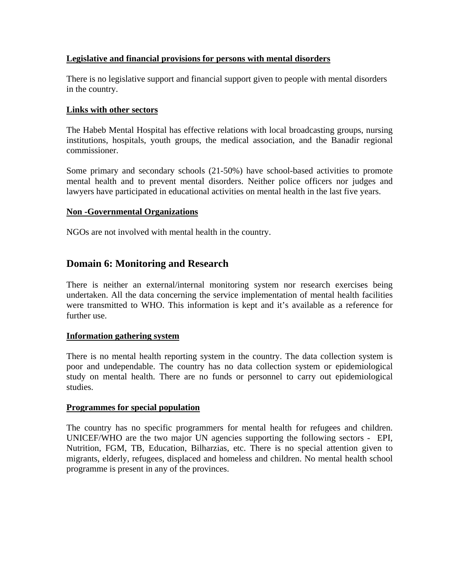### **Legislative and financial provisions for persons with mental disorders**

There is no legislative support and financial support given to people with mental disorders in the country.

### **Links with other sectors**

The Habeb Mental Hospital has effective relations with local broadcasting groups, nursing institutions, hospitals, youth groups, the medical association, and the Banadir regional commissioner.

Some primary and secondary schools (21-50%) have school-based activities to promote mental health and to prevent mental disorders. Neither police officers nor judges and lawyers have participated in educational activities on mental health in the last five years.

### **Non -Governmental Organizations**

NGOs are not involved with mental health in the country.

# **Domain 6: Monitoring and Research**

There is neither an external/internal monitoring system nor research exercises being undertaken. All the data concerning the service implementation of mental health facilities were transmitted to WHO. This information is kept and it's available as a reference for further use.

### **Information gathering system**

There is no mental health reporting system in the country. The data collection system is poor and undependable. The country has no data collection system or epidemiological study on mental health. There are no funds or personnel to carry out epidemiological studies.

### **Programmes for special population**

The country has no specific programmers for mental health for refugees and children. UNICEF/WHO are the two major UN agencies supporting the following sectors - EPI, Nutrition, FGM, TB, Education, Bilharzias, etc. There is no special attention given to migrants, elderly, refugees, displaced and homeless and children. No mental health school programme is present in any of the provinces.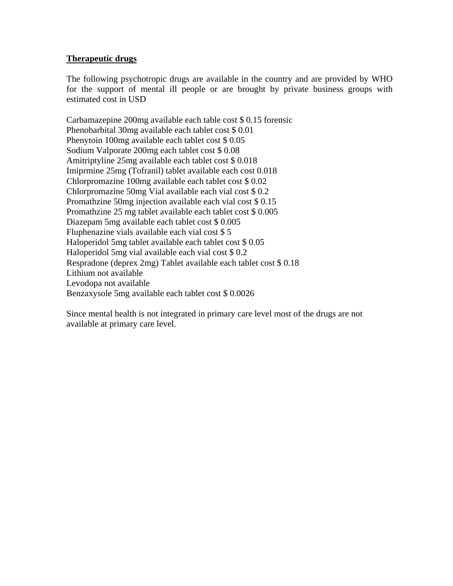### **Therapeutic drugs**

The following psychotropic drugs are available in the country and are provided by WHO for the support of mental ill people or are brought by private business groups with estimated cost in USD

Carbamazepine 200mg available each table cost \$ 0.15 forensic Phenobarbital 30mg available each tablet cost \$ 0.01 Phenytoin 100mg available each tablet cost \$ 0.05 Sodium Valporate 200mg each tablet cost \$ 0.08 Amitriptyline 25mg available each tablet cost \$ 0.018 Imiprmine 25mg (Tofranil) tablet available each cost 0.018 Chlorpromazine 100mg available each tablet cost \$ 0.02 Chlorpromazine 50mg Vial available each vial cost \$ 0.2 Promathzine 50mg injection available each vial cost \$ 0.15 Promathzine 25 mg tablet available each tablet cost \$ 0.005 Diazepam 5mg available each tablet cost \$ 0.005 Fluphenazine vials available each vial cost \$ 5 Haloperidol 5mg tablet available each tablet cost \$ 0.05 Haloperidol 5mg vial available each vial cost \$ 0.2 Respradone (deprex 2mg) Tablet available each tablet cost \$ 0.18 Lithium not available Levodopa not available Benzaxysole 5mg available each tablet cost \$ 0.0026

Since mental health is not integrated in primary care level most of the drugs are not available at primary care level.